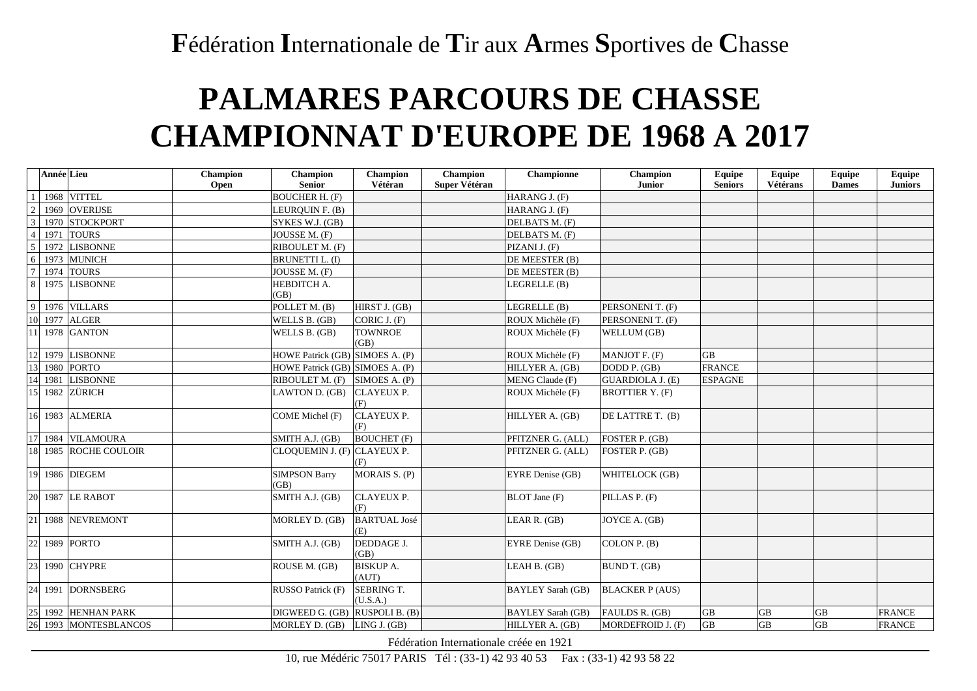## **F**édération **I**nternationale de **T**ir aux **A**rmes **S**portives de **C**hasse

## **PALMARES PARCOURS DE CHASSE CHAMPIONNAT D'EUROPE DE 1968 A 2017**

|                | <b>Année</b> Lieu |                    | Champion<br>Open | <b>Champion</b><br><b>Senior</b> | <b>Champion</b><br>Vétéran | Champion<br>Super Vétéran | Championne               | Champion<br>Junior     | Equipe<br><b>Seniors</b> | Equipe<br>Vétérans | <b>Equipe</b><br><b>Dames</b> | Equipe<br><b>Juniors</b> |
|----------------|-------------------|--------------------|------------------|----------------------------------|----------------------------|---------------------------|--------------------------|------------------------|--------------------------|--------------------|-------------------------------|--------------------------|
|                | 1968              | <b>VITTEL</b>      |                  | <b>BOUCHER H. (F)</b>            |                            |                           | HARANG J. (F)            |                        |                          |                    |                               |                          |
| $\overline{2}$ | 1969              | <b>OVERIJSE</b>    |                  | LEURQUIN F. (B)                  |                            |                           | HARANG J. (F)            |                        |                          |                    |                               |                          |
| 3              | 1970              | <b>STOCKPORT</b>   |                  | SYKES W.J. (GB)                  |                            |                           | DELBATS M. (F)           |                        |                          |                    |                               |                          |
| $\overline{4}$ | 1971              | <b>TOURS</b>       |                  | JOUSSE M. (F)                    |                            |                           | DELBATS M. (F)           |                        |                          |                    |                               |                          |
| 5              | 1972              | <b>LISBONNE</b>    |                  | RIBOULET M. (F)                  |                            |                           | PIZANI J. (F)            |                        |                          |                    |                               |                          |
| 6              | 1973              | <b>MUNICH</b>      |                  | <b>BRUNETTI L. (I)</b>           |                            |                           | DE MEESTER (B)           |                        |                          |                    |                               |                          |
| $\overline{7}$ | 1974              | <b>TOURS</b>       |                  | JOUSSE M. (F)                    |                            |                           | DE MEESTER (B)           |                        |                          |                    |                               |                          |
| 8              | 1975              | <b>LISBONNE</b>    |                  | HEBDITCH A.<br>(GB)              |                            |                           | LEGRELLE (B)             |                        |                          |                    |                               |                          |
| 9              | 1976              | <b>VILLARS</b>     |                  | POLLET M. (B)                    | HIRST J. (GB)              |                           | LEGRELLE (B)             | PERSONENI T. (F)       |                          |                    |                               |                          |
| 10             |                   | 1977 ALGER         |                  | WELLS B. (GB)                    | CORIC J. (F)               |                           | ROUX Michèle (F)         | PERSONENI T. (F)       |                          |                    |                               |                          |
|                | 1978              | <b>GANTON</b>      |                  | WELLS B. (GB)                    | <b>TOWNROE</b><br>(GB)     |                           | ROUX Michèle (F)         | WELLUM (GB)            |                          |                    |                               |                          |
| 12             |                   | 1979 LISBONNE      |                  | HOWE Patrick (GB) SIMOES A. (P)  |                            |                           | ROUX Michèle (F)         | MANJOT F. (F)          | <b>GB</b>                |                    |                               |                          |
| 13             |                   | 1980 PORTO         |                  | HOWE Patrick (GB) SIMOES A. (P)  |                            |                           | HILLYER A. (GB)          | DODD P. (GB)           | <b>FRANCE</b>            |                    |                               |                          |
| 14             | 1981              | <b>LISBONNE</b>    |                  | RIBOULET M. (F)                  | SIMOES A. (P)              |                           | MENG Claude (F)          | GUARDIOLA J. (E)       | <b>ESPAGNE</b>           |                    |                               |                          |
| 15             |                   | 1982 ZÜRICH        |                  | LAWTON D. (GB)                   | <b>CLAYEUX P.</b><br>(F)   |                           | ROUX Michèle (F)         | <b>BROTTIER Y. (F)</b> |                          |                    |                               |                          |
| 16             | 1983              | <b>ALMERIA</b>     |                  | COME Michel (F)                  | <b>CLAYEUX P.</b><br>(F)   |                           | HILLYER A. (GB)          | DE LATTRE T. (B)       |                          |                    |                               |                          |
| 17             |                   | 1984 VILAMOURA     |                  | SMITH A.J. (GB)                  | <b>BOUCHET</b> (F)         |                           | PFITZNER G. (ALL)        | FOSTER P. (GB)         |                          |                    |                               |                          |
| 18             |                   | 1985 ROCHE COULOIR |                  | CLOQUEMIN J. (F) CLAYEUX P.      | (F)                        |                           | PFITZNER G. (ALL)        | FOSTER P. (GB)         |                          |                    |                               |                          |
| 19             |                   | 1986 DIEGEM        |                  | <b>SIMPSON Barry</b><br>(GB)     | MORAIS S. (P)              |                           | EYRE Denise (GB)         | WHITELOCK (GB)         |                          |                    |                               |                          |
| 20             |                   | 1987 LE RABOT      |                  | SMITH A.J. (GB)                  | <b>CLAYEUX P.</b><br>(F)   |                           | <b>BLOT</b> Jane (F)     | PILLAS P. (F)          |                          |                    |                               |                          |
| 21             | 1988              | <b>NEVREMONT</b>   |                  | MORLEY D. (GB)                   | <b>BARTUAL José</b><br>(E) |                           | LEAR $R.$ (GB)           | JOYCE A. (GB)          |                          |                    |                               |                          |
| 22             |                   | 1989 PORTO         |                  | SMITH A.J. (GB)                  | DEDDAGE J.<br>(GB)         |                           | EYRE Denise (GB)         | COLON P. $(B)$         |                          |                    |                               |                          |
| 23             | 1990              | <b>CHYPRE</b>      |                  | ROUSE M. (GB)                    | <b>BISKUP A.</b><br>(AUT)  |                           | LEAH B. (GB)             | BUND T. (GB)           |                          |                    |                               |                          |
| 24             | 1991              | <b>DORNSBERG</b>   |                  | RUSSO Patrick (F)                | SEBRING T.<br>(U.S.A.)     |                           | <b>BAYLEY Sarah (GB)</b> | <b>BLACKER P (AUS)</b> |                          |                    |                               |                          |
| 25             | 1992              | <b>HENHAN PARK</b> |                  | DIGWEED G. (GB) RUSPOLI B. (B)   |                            |                           | <b>BAYLEY Sarah (GB)</b> | FAULDS R. (GB)         | <b>GB</b>                | <b>GB</b>          | GB                            | <b>FRANCE</b>            |
| 26             |                   | 1993 MONTESBLANCOS |                  | MORLEY D. (GB)                   | LING J. (GB)               |                           | HILLYER A. (GB)          | MORDEFROID J. (F)      | <b>GB</b>                | <b>GB</b>          | <b>GB</b>                     | <b>FRANCE</b>            |

Fédération Internationale créée en 1921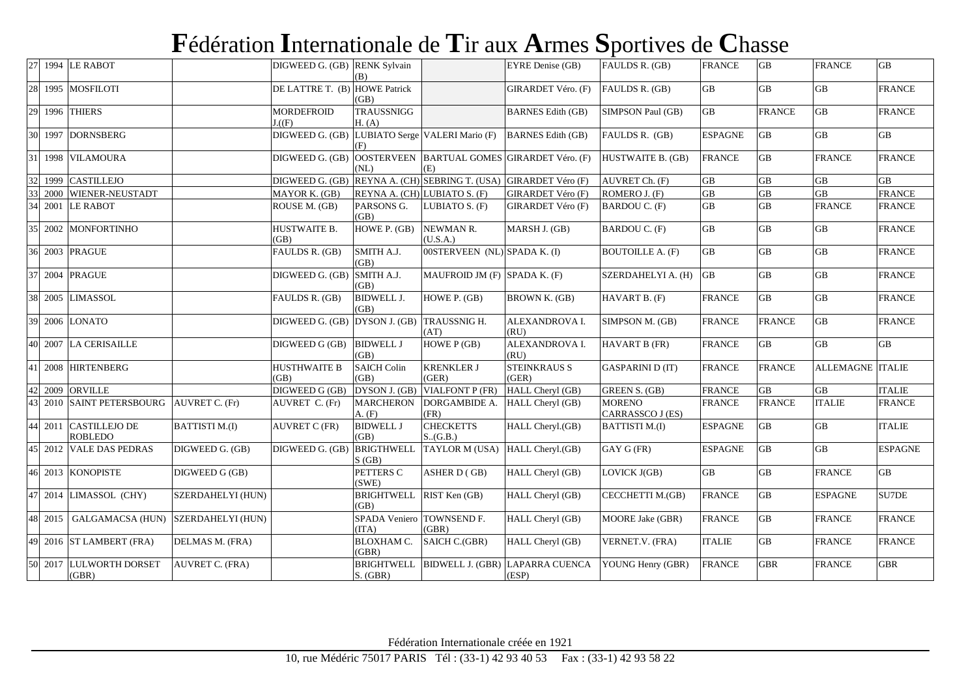## **F**édération **I**nternationale de **T**ir aux **A**rmes **S**portives de **C**hasse

| 27 |      | 1994 LE RABOT                          |                        | DIGWEED G. (GB) RENK Sylvain     | (B)                             |                                                  | EYRE Denise (GB)                         | FAULDS R. (GB)                    | <b>FRANCE</b>       | GB              | <b>FRANCE</b>           | $\overline{GB}$ |
|----|------|----------------------------------------|------------------------|----------------------------------|---------------------------------|--------------------------------------------------|------------------------------------------|-----------------------------------|---------------------|-----------------|-------------------------|-----------------|
| 28 |      | 1995 MOSFILOTI                         |                        | DE LATTRE T. (B) HOWE Patrick    | (GB)                            |                                                  | GIRARDET Véro. (F)                       | FAULDS R. (GB)                    | $\overline{GB}$     | <b>GB</b>       | <b>GB</b>               | <b>FRANCE</b>   |
| 29 |      | 1996 THIERS                            |                        | <b>MORDEFROID</b><br>$\Gamma(F)$ | <b>TRAUSSNIGG</b><br>H. (A)     |                                                  | <b>BARNES</b> Edith (GB)                 | SIMPSON Paul (GB)                 | $\overline{GB}$     | <b>FRANCE</b>   | $\overline{GB}$         | <b>FRANCE</b>   |
| 30 |      | 1997 DORNSBERG                         |                        | DIGWEED G. (GB)                  | (F)                             | LUBIATO Serge VALERI Mario (F) BARNES Edith (GB) |                                          | FAULDS R. (GB)                    | <b>ESPAGNE</b>      | GB              | $\overline{GB}$         | <b>GB</b>       |
| 31 |      | 1998 VILAMOURA                         |                        | DIGWEED G. (GB)                  | <b>OOSTERVEEN</b><br>(NL)       | (E)                                              | BARTUAL GOMES GIRARDET Véro. (F)         | HUSTWAITE B. (GB)                 | <b>FRANCE</b>       | GB              | <b>FRANCE</b>           | <b>FRANCE</b>   |
| 32 | 1999 | <b>CASTILLEJO</b>                      |                        | DIGWEED G. (GB)                  |                                 | REYNA A. (CH) SEBRING T. (USA)                   | <b>GIRARDET Véro (F)</b>                 | AUVRET Ch. (F)                    | $\overline{GB}$     | GB              | GB                      | GB              |
|    | 2000 | WIENER-NEUSTADT                        |                        | MAYOR K. (GB)                    | REYNA A. (CH) LUBIATO S. (F)    |                                                  | <b>GIRARDET Véro (F)</b>                 | ROMERO J. (F)                     | $\overline{GB}$     | $\overline{GB}$ | $\overline{GB}$         | <b>FRANCE</b>   |
|    |      | 2001 LE RABOT                          |                        | ROUSE M. (GB)                    | PARSONS G.<br>(GB)              | LUBIATO S. (F)                                   | <b>GIRARDET Véro (F)</b>                 | <b>BARDOU C. (F)</b>              | $\operatorname{GB}$ | $\overline{GB}$ | <b>FRANCE</b>           | <b>FRANCE</b>   |
| 35 |      | 2002 MONFORTINHO                       |                        | HUSTWAITE B.<br>(GB)             | HOWE P. (GB)                    | NEWMAN R.<br>(U.S.A.)                            | MARSH J. (GB)                            | <b>BARDOU C. (F)</b>              | $\overline{GB}$     | $\overline{GB}$ | $\overline{GB}$         | <b>FRANCE</b>   |
| 36 |      | 2003 PRAGUE                            |                        | FAULDS R. (GB)                   | SMITH A.J.<br>(GB)              | 00STERVEEN (NL) SPADA K. (I)                     |                                          | <b>BOUTOILLE A. (F)</b>           | $\overline{GB}$     | <b>GB</b>       | $\overline{GB}$         | <b>FRANCE</b>   |
| 37 |      | 2004 PRAGUE                            |                        | DIGWEED G. (GB)                  | SMITH A.J.<br>(GB)              | MAUFROID JM (F) SPADA K. (F)                     |                                          | SZERDAHELYI A. (H)                | <b>GB</b>           | GB              | $\overline{GB}$         | <b>FRANCE</b>   |
| 38 |      | 2005 LIMASSOL                          |                        | FAULDS R. (GB)                   | <b>BIDWELL J.</b><br>(GB)       | HOWE P. (GB)                                     | BROWN K. (GB)                            | HAVART B. (F)                     | <b>FRANCE</b>       | $\rm GB$        | GB                      | <b>FRANCE</b>   |
| 39 |      | 2006 LONATO                            |                        | DIGWEED G. (GB) DYSON J. (GB)    |                                 | TRAUSSNIG H.<br>(AT)                             | ALEXANDROVA I.<br>(RU)                   | SIMPSON M. (GB)                   | <b>FRANCE</b>       | <b>FRANCE</b>   | GB                      | <b>FRANCE</b>   |
|    |      | 40 2007 LA CERISAILLE                  |                        | DIGWEED G (GB)                   | <b>BIDWELL J</b><br>(GB)        | HOWE P (GB)                                      | ALEXANDROVA I.<br>(RU)                   | HAVART B (FR)                     | <b>FRANCE</b>       | <b>GB</b>       | GB                      | $\overline{GB}$ |
| 41 |      | 2008 HIRTENBERG                        |                        | <b>HUSTHWAITE B</b><br>(B)       | <b>SAICH Colin</b><br>(GB)      | <b>KRENKLER J</b><br>(GER)                       | <b>STEINKRAUS S</b><br>(GER)             | <b>GASPARINI D (IT)</b>           | <b>FRANCE</b>       | <b>FRANCE</b>   | <b>ALLEMAGNE ITALIE</b> |                 |
| 42 | 2009 | <b>ORVILLE</b>                         |                        | DIGWEED G (GB)                   | DYSON J. (GB)                   | <b>VIALFONT P (FR)</b>                           | HALL Cheryl (GB)                         | <b>GREEN S. (GB)</b>              | <b>FRANCE</b>       | $\overline{GB}$ | $\overline{GB}$         | <b>ITALIE</b>   |
|    |      | 2010 SAINT PETERSBOURG AUVRET C. (Fr)  |                        | AUVRET C. (Fr)                   | <b>MARCHERON</b><br>A. (F)      | DORGAMBIDE A.<br>(FR)                            | HALL Cheryl (GB)                         | <b>MORENO</b><br>CARRASSCO J (ES) | <b>FRANCE</b>       | <b>FRANCE</b>   | <b>ITALIE</b>           | <b>FRANCE</b>   |
|    | 2011 | <b>CASTILLEJO DE</b><br><b>ROBLEDO</b> | <b>BATTISTI M.(I)</b>  | <b>AUVRET C (FR)</b>             | <b>BIDWELL J</b><br>(GB)        | <b>CHECKETTS</b><br>S.(G.B.)                     | HALL Cheryl.(GB)                         | <b>BATTISTI M.(I)</b>             | <b>ESPAGNE</b>      | GB              | $\operatorname{GB}$     | <b>ITALIE</b>   |
|    |      | 45 2012 VALE DAS PEDRAS                | DIGWEED G. (GB)        | DIGWEED G. (GB)                  | <b>BRIGTHWELL</b><br>S(GB)      | TAYLOR M (USA)                                   | HALL Cheryl.(GB)                         | GAY G (FR)                        | <b>ESPAGNE</b>      | <b>GB</b>       | $\overline{GB}$         | <b>ESPAGNE</b>  |
| 46 |      | 2013 KONOPISTE                         | DIGWEED G (GB)         |                                  | PETTERS C<br>(SWE)              | ASHER D (GB)                                     | HALL Cheryl (GB)                         | LOVICK J(GB)                      | <b>GB</b>           | <b>GB</b>       | <b>FRANCE</b>           | GB              |
| 47 |      | 2014 LIMASSOL (CHY)                    | SZERDAHELYI (HUN)      |                                  | <b>BRIGHTWELL</b><br>(GB)       | RIST Ken (GB)                                    | HALL Cheryl (GB)                         | CECCHETTI M.(GB)                  | <b>FRANCE</b>       | $\rm GB$        | <b>ESPAGNE</b>          | SU7DE           |
| 48 | 2015 | GALGAMACSA (HUN) SZERDAHELYI (HUN)     |                        |                                  | SPADA Veniero<br>(TTA)          | TOWNSEND F.<br>(GBR)                             | HALL Cheryl (GB)                         | <b>MOORE Jake (GBR)</b>           | <b>FRANCE</b>       | GB              | <b>FRANCE</b>           | <b>FRANCE</b>   |
|    |      | 49 2016 ST LAMBERT (FRA)               | DELMAS M. (FRA)        |                                  | <b>BLOXHAM C.</b><br>(GBR)      | SAICH C.(GBR)                                    | HALL Cheryl (GB)                         | VERNET.V. (FRA)                   | <b>ITALIE</b>       | GB              | <b>FRANCE</b>           | <b>FRANCE</b>   |
|    |      | 50 2017 LULWORTH DORSET<br>(GBR)       | <b>AUVRET C. (FRA)</b> |                                  | <b>BRIGHTWELL</b><br>$S.$ (GBR) |                                                  | BIDWELL J. (GBR) LAPARRA CUENCA<br>(ESP) | YOUNG Henry (GBR)                 | <b>FRANCE</b>       | <b>GBR</b>      | <b>FRANCE</b>           | <b>GBR</b>      |